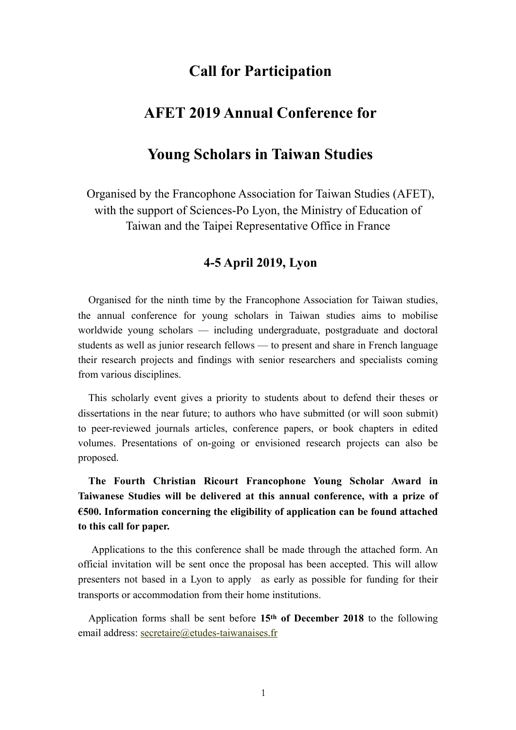# **Call for Participation**

## **AFET 2019 Annual Conference for**

### **Young Scholars in Taiwan Studies**

Organised by the Francophone Association for Taiwan Studies (AFET), with the support of Sciences-Po Lyon, the Ministry of Education of Taiwan and the Taipei Representative Office in France

### **4-5 April 2019, Lyon**

Organised for the ninth time by the Francophone Association for Taiwan studies, the annual conference for young scholars in Taiwan studies aims to mobilise worldwide young scholars — including undergraduate, postgraduate and doctoral students as well as junior research fellows — to present and share in French language their research projects and findings with senior researchers and specialists coming from various disciplines.

This scholarly event gives a priority to students about to defend their theses or dissertations in the near future; to authors who have submitted (or will soon submit) to peer-reviewed journals articles, conference papers, or book chapters in edited volumes. Presentations of on-going or envisioned research projects can also be proposed.

**The Fourth Christian Ricourt Francophone Young Scholar Award in Taiwanese Studies will be delivered at this annual conference, with a prize of €500. Information concerning the eligibility of application can be found attached to this call for paper.** 

 Applications to the this conference shall be made through the attached form. An official invitation will be sent once the proposal has been accepted. This will allow presenters not based in a Lyon to apply as early as possible for funding for their transports or accommodation from their home institutions.

Application forms shall be sent before **15th of December 2018** to the following email address: [secretaire@etudes-taiwanaises.fr](mailto:secretaire@etudes-taiwanaises.fr)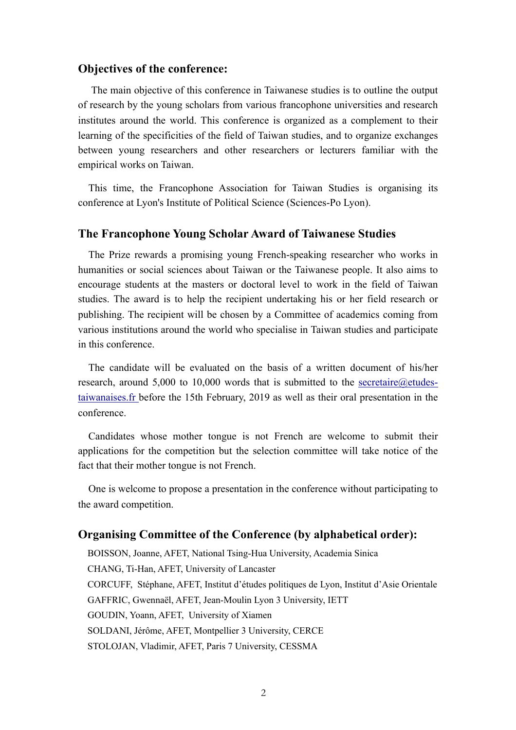#### **Objectives of the conference:**

 The main objective of this conference in Taiwanese studies is to outline the output of research by the young scholars from various francophone universities and research institutes around the world. This conference is organized as a complement to their learning of the specificities of the field of Taiwan studies, and to organize exchanges between young researchers and other researchers or lecturers familiar with the empirical works on Taiwan.

This time, the Francophone Association for Taiwan Studies is organising its conference at Lyon's Institute of Political Science (Sciences-Po Lyon).

#### **The Francophone Young Scholar Award of Taiwanese Studies**

The Prize rewards a promising young French-speaking researcher who works in humanities or social sciences about Taiwan or the Taiwanese people. It also aims to encourage students at the masters or doctoral level to work in the field of Taiwan studies. The award is to help the recipient undertaking his or her field research or publishing. The recipient will be chosen by a Committee of academics coming from various institutions around the world who specialise in Taiwan studies and participate in this conference.

The candidate will be evaluated on the basis of a written document of his/her research, around  $5,000$  to 10,000 words that is submitted to the [secretaire@etudes](mailto:secretaire@etudes-taiwanaises.fr)[taiwanaises.fr](mailto:secretaire@etudes-taiwanaises.fr) before the 15th February, 2019 as well as their oral presentation in the conference.

Candidates whose mother tongue is not French are welcome to submit their applications for the competition but the selection committee will take notice of the fact that their mother tongue is not French.

One is welcome to propose a presentation in the conference without participating to the award competition.

#### **Organising Committee of the Conference (by alphabetical order):**

BOISSON, Joanne, AFET, National Tsing-Hua University, Academia Sinica CHANG, Ti-Han, AFET, University of Lancaster CORCUFF, Stéphane, AFET, Institut d'études politiques de Lyon, Institut d'Asie Orientale GAFFRIC, Gwennaël, AFET, Jean-Moulin Lyon 3 University, IETT GOUDIN, Yoann, AFET, University of Xiamen SOLDANI, Jérôme, AFET, Montpellier 3 University, CERCE STOLOJAN, Vladimir, AFET, Paris 7 University, CESSMA